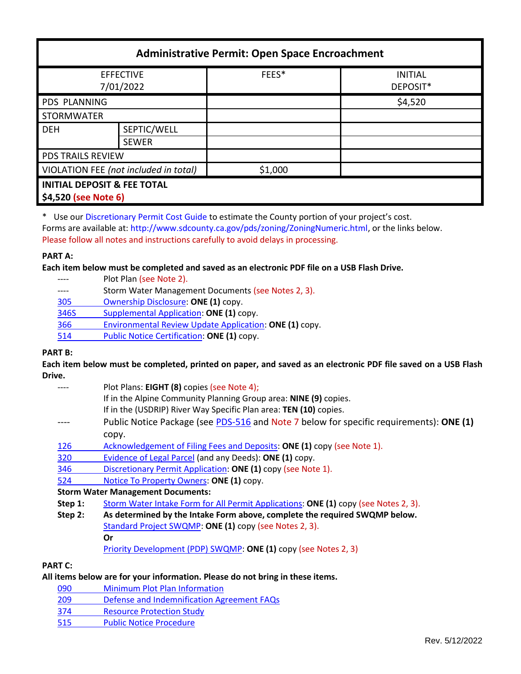| <b>Administrative Permit: Open Space Encroachment</b>          |              |         |                            |  |
|----------------------------------------------------------------|--------------|---------|----------------------------|--|
| <b>EFFECTIVE</b><br>7/01/2022                                  |              | FEES*   | <b>INITIAL</b><br>DEPOSIT* |  |
| <b>PDS PLANNING</b>                                            |              |         | \$4,520                    |  |
| <b>STORMWATER</b>                                              |              |         |                            |  |
| <b>DEH</b>                                                     | SEPTIC/WELL  |         |                            |  |
|                                                                | <b>SEWER</b> |         |                            |  |
| <b>PDS TRAILS REVIEW</b>                                       |              |         |                            |  |
| VIOLATION FEE (not included in total)                          |              | \$1,000 |                            |  |
| <b>INITIAL DEPOSIT &amp; FEE TOTAL</b><br>\$4,520 (see Note 6) |              |         |                            |  |

\* Use our [Discretionary Permit Cost Guide](http://www.sandiegocounty.gov/content/dam/sdc/pds/docs/Discretionary_Permit_Cost_Guide.xlsx) to estimate the County portion of your project's cost. Forms are available at: [http://www.sdcounty.ca.gov/pds/zoning/ZoningNumeric.html,](http://www.sdcounty.ca.gov/pds/zoning/ZoningNumeric.html) or the links below. Please follow all notes and instructions carefully to avoid delays in processing.

## **PART A:**

**Each item below must be completed and saved as an electronic PDF file on a USB Flash Drive.**

- Plot Plan (see Note 2).
- ---- Storm Water Management Documents (see Notes 2, 3).
- 305 [Ownership Disclosure:](https://www.sandiegocounty.gov/content/dam/sdc/pds/zoning/formfields/PDS-PLN-305.pdf) **ONE (1)** copy.
- [346S Supplemental Application:](https://www.sandiegocounty.gov/content/dam/sdc/pds/zoning/formfields/PDS-PLN-346S.pdf) **ONE (1)** copy.
- 366 [Environmental Review Update Application:](https://www.sandiegocounty.gov/content/dam/sdc/pds/zoning/formfields/PDS-PLN-366.pdf) **ONE (1)** copy.
- [514 Public Notice Certification:](https://www.sandiegocounty.gov/content/dam/sdc/pds/zoning/formfields/PDS-PLN-514.pdf) **ONE (1)** copy.

## **PART B:**

**Each item below must be completed, printed on paper, and saved as an electronic PDF file saved on a USB Flash Drive.**

- Plot Plans: **EIGHT (8)** copies (see Note 4);
	- If in the Alpine Community Planning Group area: **NINE (9)** copies.
		- If in the (USDRIP) River Way Specific Plan area: **TEN (10)** copies.
- ---- Public Notice Package (see [PDS-516](https://www.sandiegocounty.gov/pds/zoning/formfields/PDS-PLN-516.pdf) and Note 7 below for specific requirements): **ONE (1)** copy.
- [126 Acknowledgement of Filing Fees and Deposits:](https://www.sandiegocounty.gov/content/dam/sdc/pds/zoning/formfields/PDS-PLN-126.pdf) **ONE (1)** copy (see Note 1).
- [320 Evidence of Legal Parcel](https://www.sandiegocounty.gov/content/dam/sdc/pds/zoning/formfields/PDS-PLN-320.pdf) (and any Deeds): **ONE (1)** copy.
- 346 [Discretionary Permit Application:](https://www.sandiegocounty.gov/content/dam/sdc/pds/zoning/formfields/PDS-PLN-346.pdf) **ONE (1)** copy (see Note 1).
- 524 [Notice To Property Owners:](https://www.sandiegocounty.gov/content/dam/sdc/pds/zoning/formfields/PDS-PLN-524.pdf) **ONE (1)** copy.

## **Storm Water Management Documents:**

- **Step 1:** [Storm Water Intake Form for](http://www.sandiegocounty.gov/content/dam/sdc/pds/zoning/formfields/SWQMP-Intake-Form.pdf) All Permit Applications: **ONE (1)** copy (see Notes 2, 3).
- **Step 2: As determined by the Intake Form above, complete the required SWQMP below.** [Standard Project SWQMP:](http://www.sandiegocounty.gov/content/dam/sdc/pds/zoning/formfields/SWQMP-Standard.pdf) **ONE (1)** copy (see Notes 2, 3). **Or** [Priority Development \(PDP\) SWQMP:](https://www.sandiegocounty.gov/content/sdc/dpw/watersheds/DevelopmentandConstruction/BMP_Design_Manual.html) **ONE (1)** copy (see Notes 2, 3)

## **PART C:**

# **All items below are for your information. Please do not bring in these items.**

- 090 [Minimum Plot Plan Information](http://www.sdcounty.ca.gov/pds/docs/pds090.pdf)
- 209 [Defense and Indemnification Agreement FAQs](https://www.sandiegocounty.gov/content/dam/sdc/pds/zoning/formfields/PDS-PLN-209.pdf)
- [374 Resource Protection Study](https://www.sandiegocounty.gov/content/dam/sdc/pds/zoning/formfields/PDS-PLN-374.pdf)
- [515 Public Notice Procedure](http://www.sdcounty.ca.gov/pds/zoning/formfields/PDS-515.pdf)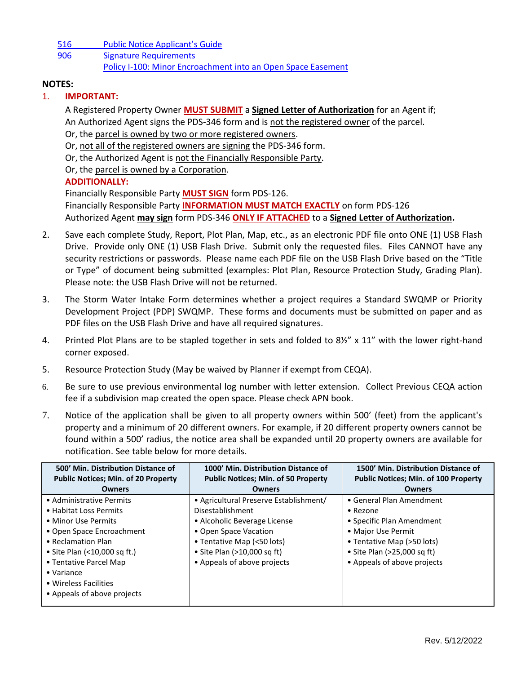516 Public N[otice Applicant's Guide](https://www.sandiegocounty.gov/content/dam/sdc/pds/zoning/formfields/PDS-PLN-516.pdf) [906 Signature Requirements](https://www.sandiegocounty.gov/content/dam/sdc/pds/zoning/formfields/PDS-PLN-906.pdf) [Policy I-100: Minor Encroachment into an Open Space Easement](http://www.sdcounty.ca.gov/cob/docs/policy/I-100.pdf)

# **NOTES:**

# 1. **IMPORTANT:**

A Registered Property Owner **MUST SUBMIT** a **Signed Letter of Authorization** for an Agent if; An Authorized Agent signs the PDS-346 form and is not the registered owner of the parcel. Or, the parcel is owned by two or more registered owners.

Or, not all of the registered owners are signing the PDS-346 form.

Or, the Authorized Agent is not the Financially Responsible Party.

Or, the parcel is owned by a Corporation.

# **ADDITIONALLY:**

Financially Responsible Party **MUST SIGN** form PDS-126. Financially Responsible Party **INFORMATION MUST MATCH EXACTLY** on form PDS-126 Authorized Agent **may sign** form PDS-346 **ONLY IF ATTACHED** to a **Signed Letter of Authorization.**

- 2. Save each complete Study, Report, Plot Plan, Map, etc., as an electronic PDF file onto ONE (1) USB Flash Drive. Provide only ONE (1) USB Flash Drive. Submit only the requested files. Files CANNOT have any security restrictions or passwords. Please name each PDF file on the USB Flash Drive based on the "Title or Type" of document being submitted (examples: Plot Plan, Resource Protection Study, Grading Plan). Please note: the USB Flash Drive will not be returned.
- 3. The Storm Water Intake Form determines whether a project requires a Standard SWQMP or Priority Development Project (PDP) SWQMP. These forms and documents must be submitted on paper and as PDF files on the USB Flash Drive and have all required signatures.
- 4. Printed Plot Plans are to be stapled together in sets and folded to 8½" x 11" with the lower right-hand corner exposed.
- 5. Resource Protection Study (May be waived by Planner if exempt from CEQA).
- 6. Be sure to use previous environmental log number with letter extension. Collect Previous CEQA action fee if a subdivision map created the open space. Please check APN book.
- 7. Notice of the application shall be given to all property owners within 500' (feet) from the applicant's property and a minimum of 20 different owners. For example, if 20 different property owners cannot be found within a 500' radius, the notice area shall be expanded until 20 property owners are available for notification. See table below for more details.

| 500' Min. Distribution Distance of<br><b>Public Notices; Min. of 20 Property</b> | 1000' Min. Distribution Distance of<br><b>Public Notices; Min. of 50 Property</b> | 1500' Min. Distribution Distance of<br><b>Public Notices; Min. of 100 Property</b> |
|----------------------------------------------------------------------------------|-----------------------------------------------------------------------------------|------------------------------------------------------------------------------------|
| <b>Owners</b>                                                                    | <b>Owners</b>                                                                     | Owners                                                                             |
| • Administrative Permits                                                         | • Agricultural Preserve Establishment/                                            | • General Plan Amendment                                                           |
| • Habitat Loss Permits                                                           | Disestablishment                                                                  | $\bullet$ Rezone                                                                   |
| • Minor Use Permits                                                              | • Alcoholic Beverage License                                                      | • Specific Plan Amendment                                                          |
| • Open Space Encroachment                                                        | • Open Space Vacation                                                             | • Major Use Permit                                                                 |
| • Reclamation Plan                                                               | • Tentative Map (<50 lots)                                                        | • Tentative Map (>50 lots)                                                         |
| • Site Plan (<10,000 sq ft.)                                                     | • Site Plan (>10,000 sq ft)                                                       | • Site Plan $(>25,000$ sq ft)                                                      |
| • Tentative Parcel Map                                                           | • Appeals of above projects                                                       | • Appeals of above projects                                                        |
| • Variance                                                                       |                                                                                   |                                                                                    |
| • Wireless Facilities                                                            |                                                                                   |                                                                                    |
| • Appeals of above projects                                                      |                                                                                   |                                                                                    |